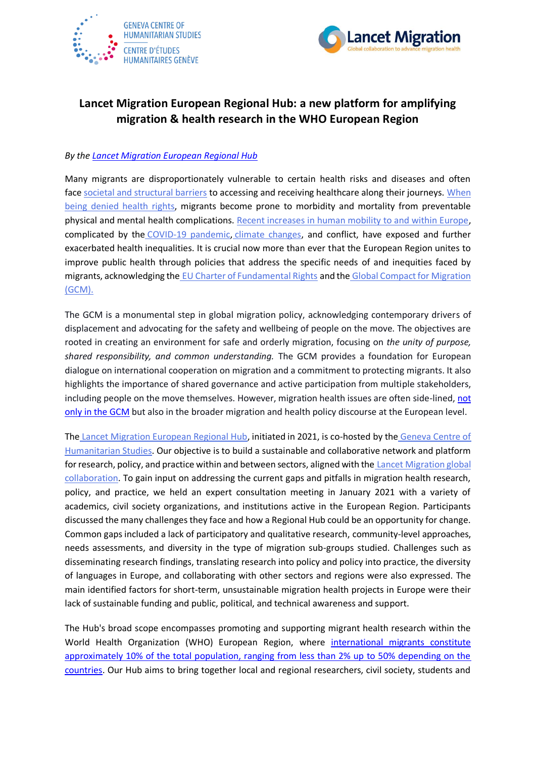



## **Lancet Migration European Regional Hub: a new platform for amplifying migration & health research in the WHO European Region**

## *By th[e Lancet Migration European Regional Hub](http://migrationhealth.org/regional-hubs/europe)*

Many migrants are disproportionately vulnerable to certain health risks and diseases and often face [societal and structural barriers](https://publications.iom.int/books/world-migration-report-2020-chapter-7) to accessing and receiving healthcare along their journeys. When [being denied health rights,](https://www.thelancet.com/journals/lancet/article/PIIS0140-6736(20)30107-0/fulltext) migrants become prone to morbidity and mortality from preventable physical and mental health complications. [Recent increases in human mobility to and within Europe,](https://publications.iom.int/books/world-migration-report-2020-chapter-3) complicated by the [COVID-19 pandemic,](https://www.sciencedirect.com/science/article/pii/S2666623521000088?via%3Dihub) [climate changes,](https://iopscience.iop.org/article/10.1088/1748-9326/ab9ece) and conflict, have exposed and further exacerbated health inequalities. It is crucial now more than ever that the European Region unites to improve public health through policies that address the specific needs of and inequities faced by migrants, acknowledging the [EU Charter of Fundamental Rights](https://www.thelancet.com/journals/lancet/article/PIIS0140-6736(12)62086-8/fulltext) and the [Global Compact for Migration](https://www.iom.int/global-compact-migration)  [\(GCM\).](https://www.iom.int/global-compact-migration)

The GCM is a monumental step in global migration policy, acknowledging contemporary drivers of displacement and advocating for the safety and wellbeing of people on the move. The objectives are rooted in creating an environment for safe and orderly migration, focusing on *the unity of purpose, shared responsibility, and common understanding.* The GCM provides a foundation for European dialogue on international cooperation on migration and a commitment to protecting migrants. It also highlights the importance of shared governance and active participation from multiple stakeholders, including people on the move themselves. However, migration health issues are often side-lined, not [only in the GCM](http://www.bmj.com/content/363/bmj.k5327.abstract) but also in the broader migration and health policy discourse at the European level.

The [Lancet Migration European Regional Hub,](https://migrationhealth.org/regional-hubs/europe/) initiated in 2021, is co-hosted by the [Geneva Centre of](https://humanitarianstudies.ch/)  [Humanitarian Studies.](https://humanitarianstudies.ch/) Our objective is to build a sustainable and collaborative network and platform for research, policy, and practice within and between sectors, aligned with the [Lancet Migration global](https://www.thelancet.com/journals/lancet/article/PIIS0140-6736(20)30107-0/fulltext)  [collaboration.](https://www.thelancet.com/journals/lancet/article/PIIS0140-6736(20)30107-0/fulltext) To gain input on addressing the current gaps and pitfalls in migration health research, policy, and practice, we held an expert consultation meeting in January 2021 with a variety of academics, civil society organizations, and institutions active in the European Region. Participants discussed the many challenges they face and how a Regional Hub could be an opportunity for change. Common gaps included a lack of participatory and qualitative research, community-level approaches, needs assessments, and diversity in the type of migration sub-groups studied. Challenges such as disseminating research findings, translating research into policy and policy into practice, the diversity of languages in Europe, and collaborating with other sectors and regions were also expressed. The main identified factors for short-term, unsustainable migration health projects in Europe were their lack of sustainable funding and public, political, and technical awareness and support.

The Hub's broad scope encompasses promoting and supporting migrant health research within the World Health Organization (WHO) European Region, where international migrants constitute [approximately 10% of the total population, ranging from less than 2% up to 50% depending on the](https://reliefweb.int/sites/reliefweb.int/files/resources/ermh-eng.pdf)  [countries.](https://reliefweb.int/sites/reliefweb.int/files/resources/ermh-eng.pdf) Our Hub aims to bring together local and regional researchers, civil society, students and